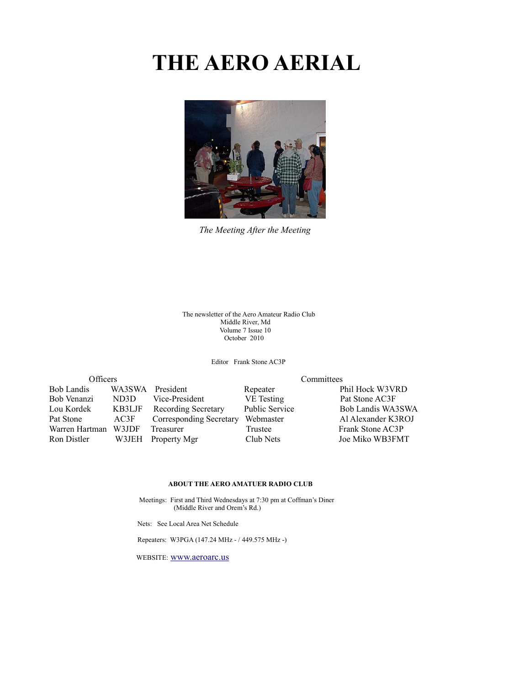# **THE AERO AERIAL**



*The Meeting After the Meeting*

 The newsletter of the Aero Amateur Radio Club Middle River, Md Volume 7 Issue 10 October 2010

Editor Frank Stone AC3P

| <b>Officers</b>   |        | Committees                 |                       |                    |
|-------------------|--------|----------------------------|-----------------------|--------------------|
| <b>Bob Landis</b> | WA3SWA | President                  | Repeater              | Phil Hock W3VRD    |
| Bob Venanzi       | ND3D   | Vice-President             | VE Testing            | Pat Stone AC3F     |
| Lou Kordek        | KB3LJF | <b>Recording Secretary</b> | <b>Public Service</b> | Bob Landis WA3SWA  |
| Pat Stone         | AC3F   | Corresponding Secretary    | Webmaster             | Al Alexander K3ROJ |
| Warren Hartman    | W3JDF  | Treasurer                  | Trustee               | Frank Stone AC3P   |
| Ron Distler       | W3JEH  | Property Mgr               | Club Nets             | Joe Miko WB3FMT    |

#### **ABOUT THE AERO AMATUER RADIO CLUB**

 Meetings: First and Third Wednesdays at 7:30 pm at Coffman's Diner (Middle River and Orem's Rd.)

Nets: See Local Area Net Schedule

Repeaters: W3PGA (147.24 MHz - / 449.575 MHz -)

WEBSITE: [www.aeroarc.us](http://www.aeroarc.us/)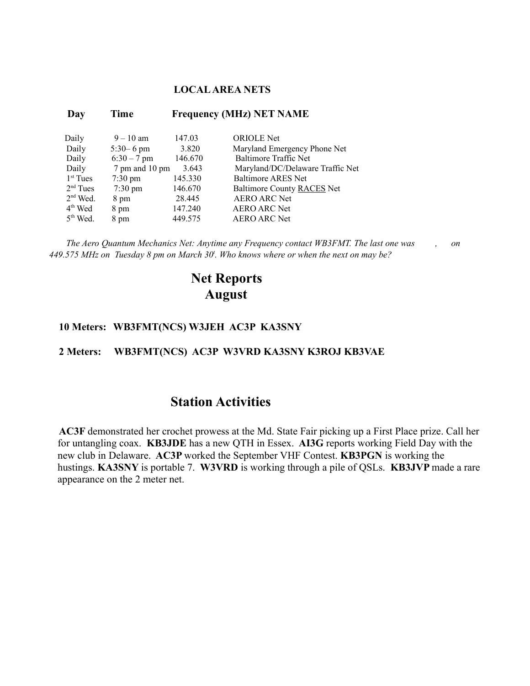#### **LOCAL AREA NETS**

| Day        | Time              |         | <b>Frequency (MHz) NET NAME</b>  |
|------------|-------------------|---------|----------------------------------|
| Daily      | $9 - 10$ am       | 147.03  | <b>ORIOLE</b> Net                |
| Daily      | $5:30 - 6$ pm     | 3.820   | Maryland Emergency Phone Net     |
| Daily      | $6:30 - 7$ pm     | 146.670 | Baltimore Traffic Net            |
| Daily      | 7 pm and 10 pm    | 3.643   | Maryland/DC/Delaware Traffic Net |
| $1st$ Tues | $7:30 \text{ pm}$ | 145.330 | Baltimore ARES Net               |
| $2nd$ Tues | $7:30 \text{ pm}$ | 146.670 | Baltimore County RACES Net       |
| $2nd$ Wed. | 8 pm              | 28.445  | <b>AERO ARC Net</b>              |
| $4th$ Wed  | 8 pm              | 147.240 | <b>AERO ARC Net</b>              |
| $5th$ Wed. | 8 pm              | 449 575 | <b>AERO ARC Net</b>              |

*The Aero Quantum Mechanics Net: Anytime any Frequency contact WB3FMT. The last one was , on 449.575 MHz on Tuesday 8 pm on March 30<sup>t</sup> . Who knows where or when the next on may be?*

### **Net Reports August**

#### **10 Meters: WB3FMT(NCS) W3JEH AC3P KA3SNY**

#### **2 Meters: WB3FMT(NCS) AC3P W3VRD KA3SNY K3ROJ KB3VAE**

#### **Station Activities**

**AC3F** demonstrated her crochet prowess at the Md. State Fair picking up a First Place prize. Call her for untangling coax. **KB3JDE** has a new QTH in Essex. **AI3G** reports working Field Day with the new club in Delaware. **AC3P** worked the September VHF Contest. **KB3PGN** is working the hustings. **KA3SNY** is portable 7. **W3VRD** is working through a pile of QSLs. **KB3JVP** made a rare appearance on the 2 meter net.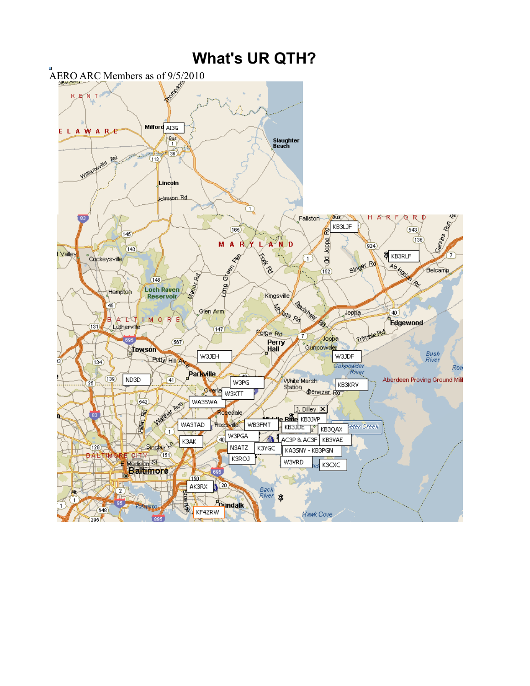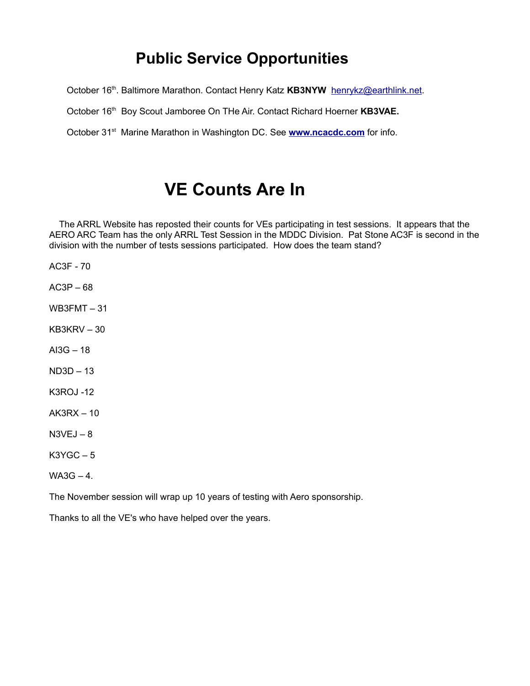## **Public Service Opportunities**

October 16<sup>th</sup>. Baltimore Marathon. Contact Henry Katz KB3NYW [henrykz@earthlink.net.](mailto:henrykz@earthlink.net)

October 16<sup>th</sup> Boy Scout Jamboree On THe Air. Contact Richard Hoerner KB3VAE.

October 31<sup>st</sup> Marine Marathon in Washington DC. See **[www.ncacdc.com](http://www.ncacdc.com/)** for info.

# **VE Counts Are In**

 The ARRL Website has reposted their counts for VEs participating in test sessions. It appears that the AERO ARC Team has the only ARRL Test Session in the MDDC Division. Pat Stone AC3F is second in the division with the number of tests sessions participated. How does the team stand?

AC3F - 70

AC3P – 68

WB3FMT – 31

KB3KRV – 30

 $A$  $B$ <sup> $-$ </sup> $18$ 

ND3D – 13

K3ROJ -12

AK3RX – 10

N3VEJ – 8

K3YGC – 5

 $WA3G - 4.$ 

The November session will wrap up 10 years of testing with Aero sponsorship.

Thanks to all the VE's who have helped over the years.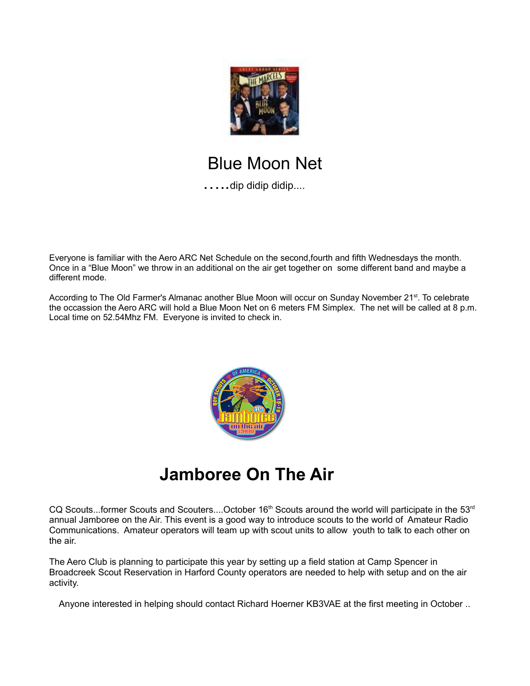

# Blue Moon Net

…..dip didip didip....

Everyone is familiar with the Aero ARC Net Schedule on the second,fourth and fifth Wednesdays the month. Once in a "Blue Moon" we throw in an additional on the air get together on some different band and maybe a different mode.

According to The Old Farmer's Almanac another Blue Moon will occur on Sunday November 21<sup>st</sup>. To celebrate the occassion the Aero ARC will hold a Blue Moon Net on 6 meters FM Simplex. The net will be called at 8 p.m. Local time on 52.54Mhz FM. Everyone is invited to check in.



# **Jamboree On The Air**

CQ Scouts...former Scouts and Scouters....October 16<sup>th</sup> Scouts around the world will participate in the 53<sup>rd</sup> annual Jamboree on the Air. This event is a good way to introduce scouts to the world of Amateur Radio Communications. Amateur operators will team up with scout units to allow youth to talk to each other on the air.

The Aero Club is planning to participate this year by setting up a field station at Camp Spencer in Broadcreek Scout Reservation in Harford County operators are needed to help with setup and on the air activity.

Anyone interested in helping should contact Richard Hoerner KB3VAE at the first meeting in October ..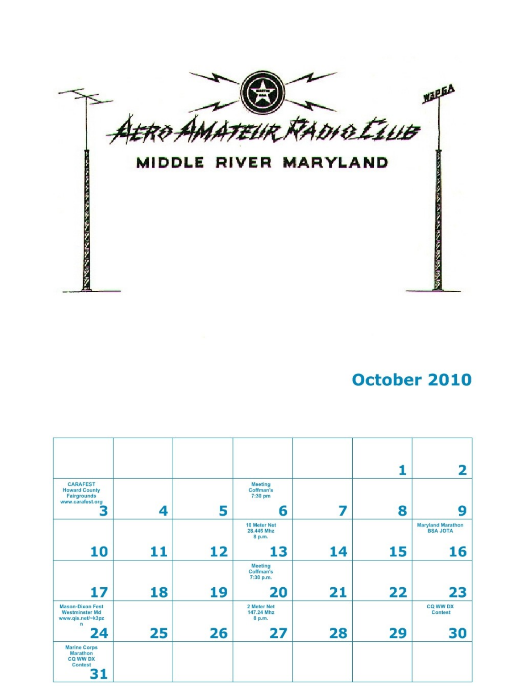

## October 2010

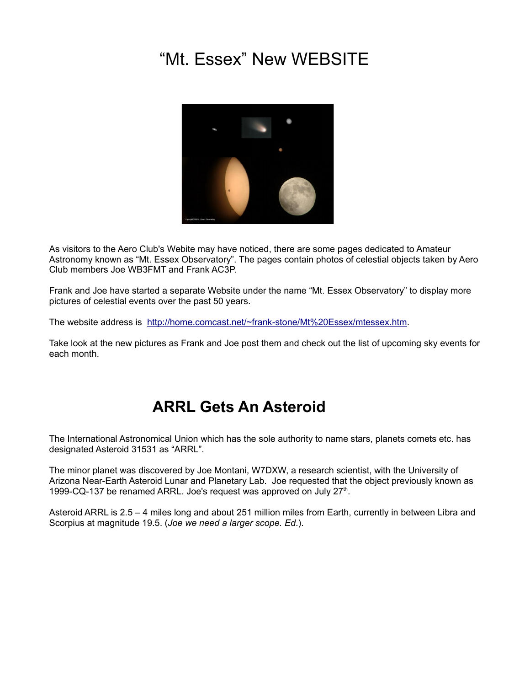# "Mt. Essex" New WEBSITE



As visitors to the Aero Club's Webite may have noticed, there are some pages dedicated to Amateur Astronomy known as "Mt. Essex Observatory". The pages contain photos of celestial objects taken by Aero Club members Joe WB3FMT and Frank AC3P.

Frank and Joe have started a separate Website under the name "Mt. Essex Observatory" to display more pictures of celestial events over the past 50 years.

The website address is [http://home.comcast.net/~frank-stone/Mt%20Essex/mtessex.htm.](http://home.comcast.net/~frank-stone/Mt%20Essex/mtessex.htm)

Take look at the new pictures as Frank and Joe post them and check out the list of upcoming sky events for each month.

## **ARRL Gets An Asteroid**

The International Astronomical Union which has the sole authority to name stars, planets comets etc. has designated Asteroid 31531 as "ARRL".

The minor planet was discovered by Joe Montani, W7DXW, a research scientist, with the University of Arizona Near-Earth Asteroid Lunar and Planetary Lab. Joe requested that the object previously known as 1999-CQ-137 be renamed ARRL. Joe's request was approved on July 27<sup>th</sup>.

Asteroid ARRL is 2.5 – 4 miles long and about 251 million miles from Earth, currently in between Libra and Scorpius at magnitude 19.5. (*Joe we need a larger scope. Ed*.).